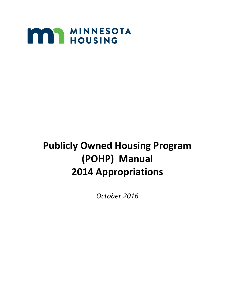

# **Publicly Owned Housing Program (POHP) Manual 2014 Appropriations**

*October 2016*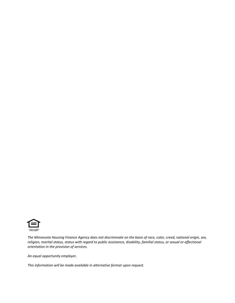

*The Minnesota Housing Finance Agency does not discriminate on the basis of race, color, creed, national origin, sex, religion, marital status, status with regard to public assistance, disability, familial status, or sexual or affectional orientation in the provision of services.*

*An equal opportunity employer.*

*This information will be made available in alternative format upon request.*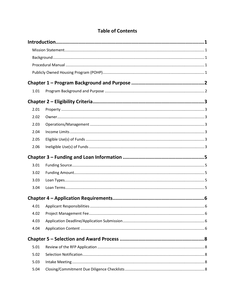| 1.01 |  |
|------|--|
|      |  |
| 2.01 |  |
| 2.02 |  |
| 2.03 |  |
| 2.04 |  |
| 2.05 |  |
| 2.06 |  |
|      |  |
| 3.01 |  |
| 3.02 |  |
| 3.03 |  |
| 3.04 |  |
|      |  |
| 4.01 |  |
| 4.02 |  |
| 4.03 |  |
| 4.04 |  |
|      |  |
| 5.01 |  |
| 5.02 |  |
| 5.03 |  |
| 5.04 |  |

### **Table of Contents**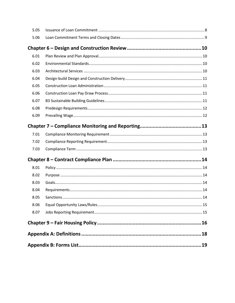| 5.05 |  |  |  |  |
|------|--|--|--|--|
| 5.06 |  |  |  |  |
|      |  |  |  |  |
| 6.01 |  |  |  |  |
| 6.02 |  |  |  |  |
| 6.03 |  |  |  |  |
| 6.04 |  |  |  |  |
| 6.05 |  |  |  |  |
| 6.06 |  |  |  |  |
| 6.07 |  |  |  |  |
| 6.08 |  |  |  |  |
| 6.09 |  |  |  |  |
|      |  |  |  |  |
| 7.01 |  |  |  |  |
| 7.02 |  |  |  |  |
| 7.03 |  |  |  |  |
|      |  |  |  |  |
| 8.01 |  |  |  |  |
| 8.02 |  |  |  |  |
| 8.03 |  |  |  |  |
| 8.04 |  |  |  |  |
| 8.05 |  |  |  |  |
| 8.06 |  |  |  |  |
| 8.07 |  |  |  |  |
|      |  |  |  |  |
|      |  |  |  |  |
|      |  |  |  |  |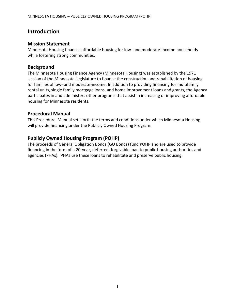#### <span id="page-4-0"></span>**Introduction**

#### <span id="page-4-1"></span>**Mission Statement**

Minnesota Housing finances affordable housing for low- and moderate-income households while fostering strong communities.

#### <span id="page-4-2"></span>**Background**

The Minnesota Housing Finance Agency (Minnesota Housing) was established by the 1971 session of the Minnesota Legislature to finance the construction and rehabilitation of housing for families of low- and moderate-income. In addition to providing financing for multifamily rental units, single family mortgage loans, and home improvement loans and grants, the Agency participates in and administers other programs that assist in increasing or improving affordable housing for Minnesota residents.

#### <span id="page-4-3"></span>**Procedural Manual**

This Procedural Manual sets forth the terms and conditions under which Minnesota Housing will provide financing under the Publicly Owned Housing Program.

#### <span id="page-4-4"></span>**Publicly Owned Housing Program (POHP)**

The proceeds of General Obligation Bonds (GO Bonds) fund POHP and are used to provide financing in the form of a 20-year, deferred, forgivable loan to public housing authorities and agencies (PHAs). PHAs use these loans to rehabilitate and preserve public housing.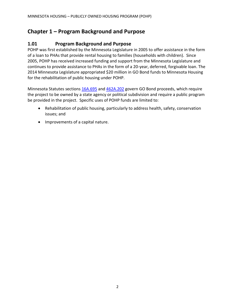## <span id="page-5-0"></span>**Chapter 1 – Program Background and Purpose**

#### <span id="page-5-1"></span>**1.01 Program Background and Purpose**

POHP was first established by the Minnesota Legislature in 2005 to offer assistance in the form of a loan to PHAs that provide rental housing to families (households with children). Since 2005, POHP has received increased funding and support from the Minnesota Legislature and continues to provide assistance to PHAs in the form of a 20-year, deferred, forgivable loan. The 2014 Minnesota Legislature appropriated \$20 million in GO Bond funds to Minnesota Housing for the rehabilitation of public housing under POHP.

Minnesota Statutes sections [16A.695](https://www.revisor.mn.gov/statutes/?id=16A.695) and [462A.202](https://www.revisor.mn.gov/statutes/?id=462A&view=chapter#stat.462A.202) govern GO Bond proceeds, which require the project to be owned by a state agency or political subdivision and require a public program be provided in the project. Specific uses of POHP funds are limited to:

- Rehabilitation of public housing, particularly to address health, safety, conservation issues; and
- Improvements of a capital nature.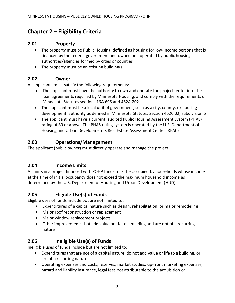## <span id="page-6-0"></span>**Chapter 2 – Eligibility Criteria**

#### <span id="page-6-1"></span>**2.01 Property**

- The property must be Public Housing, defined as housing for low-income persons that is financed by the federal government and owned and operated by public housing authorities/agencies formed by cities or counties
- The property must be an existing building(s)

#### <span id="page-6-2"></span>**2.02 Owner**

All applicants must satisfy the following requirements:

- The applicant must have the authority to own and operate the project, enter into the loan agreements required by Minnesota Housing, and comply with the requirements of Minnesota Statutes sections 16A.695 and 462A.202
- The applicant must be a local unit of government, such as a city, county, or housing development authority as defined in Minnesota Statutes Section 462C.02, subdivision 6
- The applicant must have a current, audited Public Housing Assessment System (PHAS) rating of 80 or above. The PHAS rating system is operated by the U.S. Department of Housing and Urban Development's Real Estate Assessment Center (REAC)

#### <span id="page-6-3"></span>**2.03 Operations/Management**

The applicant (public owner) must directly operate and manage the project.

#### <span id="page-6-4"></span>**2.04 Income Limits**

All units in a project financed with POHP funds must be occupied by households whose income at the time of initial occupancy does not exceed the maximum household income as determined by the U.S. Department of Housing and Urban Development (HUD).

#### <span id="page-6-5"></span>**2.05 Eligible Use(s) of Funds**

Eligible uses of funds include but are not limited to:

- Expenditures of a capital nature such as design, rehabilitation, or major remodeling
- Major roof reconstruction or replacement
- Major window replacement projects
- Other improvements that add value or life to a building and are not of a recurring nature

#### <span id="page-6-6"></span>**2.06 Ineligible Use(s) of Funds**

Ineligible uses of funds include but are not limited to:

- Expenditures that are not of a capital nature, do not add value or life to a building, or are of a recurring nature
- Operating expenses and costs, reserves, market studies, up-front marketing expenses, hazard and liability insurance, legal fees not attributable to the acquisition or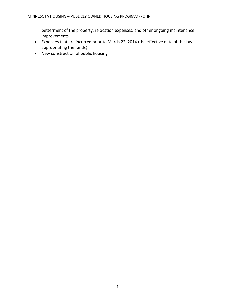betterment of the property, relocation expenses, and other ongoing maintenance improvements

- Expenses that are incurred prior to March 22, 2014 (the effective date of the law appropriating the funds)
- New construction of public housing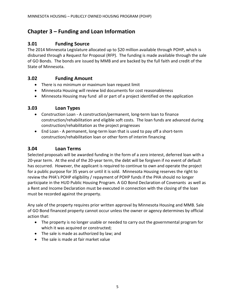## <span id="page-8-0"></span>**Chapter 3 – Funding and Loan Information**

#### <span id="page-8-1"></span>**3.01 Funding Source**

The 2014 Minnesota Legislature allocated up to \$20 million available through POHP, which is disbursed through a Request for Proposal (RFP). The funding is made available through the sale of GO Bonds. The bonds are issued by MMB and are backed by the full faith and credit of the State of Minnesota.

#### <span id="page-8-2"></span>**3.02 Funding Amount**

- There is no minimum or maximum loan request limit
- Minnesota Housing will review bid documents for cost reasonableness
- Minnesota Housing may fund all or part of a project identified on the application

#### <span id="page-8-3"></span>**3.03 Loan Types**

- Construction Loan A construction/permanent, long-term loan to finance construction/rehabilitation and eligible soft costs. The loan funds are advanced during construction/rehabilitation as the project progresses
- End Loan A permanent, long-term loan that is used to pay off a short-term construction/rehabilitation loan or other form of interim financing

#### <span id="page-8-4"></span>**3.04 Loan Terms**

Selected proposals will be awarded funding in the form of a zero interest, deferred loan with a 20-year term. At the end of the 20-year term, the debt will be forgiven if no event of default has occurred. However, the applicant is required to continue to own and operate the project for a public purpose for 35 years or until it is sold. Minnesota Housing reserves the right to review the PHA's POHP eligibility / repayment of POHP funds if the PHA should no longer participate in the HUD Public Housing Program. A GO Bond Declaration of Covenants as well as a Rent and Income Declaration must be executed in connection with the closing of the loan must be recorded against the property.

Any sale of the property requires prior written approval by Minnesota Housing and MMB. Sale of GO Bond financed property cannot occur unless the owner or agency determines by official action that:

- The property is no longer usable or needed to carry out the governmental program for which it was acquired or constructed;
- The sale is made as authorized by law; and
- The sale is made at fair market value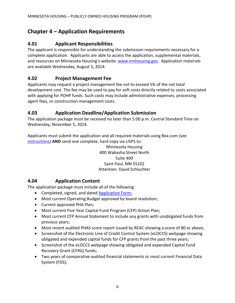## <span id="page-9-0"></span>**Chapter 4 – Application Requirements**

#### <span id="page-9-1"></span>**4.01 Applicant Responsibilities**

The applicant is responsible for understanding the submission requirements necessary for a complete application. Applicants are able to access the application, supplemental materials, and resources on Minnesota Housing's website: [www.mnhousing.gov.](http://www.mnhousing.gov/wcs/Satellite?c=Page&cid=1403296151009&pagename=External%2FPage%2FEXTStandardLayout) Application materials are available Wednesday, August 5, 2014.

#### <span id="page-9-2"></span>**4.02 Project Management Fee**

Applicants may request a project management fee not to exceed 5% of the net total development cost. The fee may be used to pay for soft costs directly related to costs associated with applying for POHP funds. Such costs may include administrative expenses, processing agent fees, or construction management costs.

#### <span id="page-9-3"></span>**4.03 Application Deadline/Application Submission**

The application package must be received no later than 5:00 p.m. Central Standard Time on Wednesday, November 5, 2014.

Applicants must submit the application and all required materials using Box.com (see [instructions\)](http://www.mnhousing.gov/get/MHFA_1017201) **AND** send one complete, hard copy via USPS to:

> Minnesota Housing 400 Wabasha Street North Suite 400 Saint Paul, MN 55102 Attention: David Schluchter

#### <span id="page-9-4"></span>**4.04 Application Content**

The application package must include all of the following:

- Completed, signed, and dated **Application Form;**
- Most current Operating Budget approved by board resolution;
- Current approved PHA Plan;
- Most current Five-Year Capital Fund Program (CFP) Action Plan;
- Most current CFP Annual Statement to include any grants with unobligated funds from previous years;
- Most recent audited PHAS score report issued by REAC showing a score of 80 or above;
- Screenshot of the Electronic Line of Credit Control System (eLOCCS) webpage showing obligated and expended capital funds for CFP grants from the past three years;
- Screenshot of the eLOCCS webpage showing obligated and expended Capital Fund Recovery Grant (CFRG) funds;
- Two years of comparative audited financial statements or most current Financial Data System (FDS);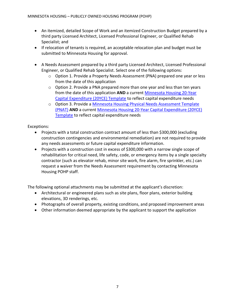- An itemized, detailed Scope of Work and an itemized Construction Budget prepared by a third party Licensed Architect, Licensed Professional Engineer, or Qualified Rehab Specialist; and
- If relocation of tenants is required, an acceptable relocation plan and budget must be submitted to Minnesota Housing for approval.
- A Needs Assessment prepared by a third party Licensed Architect, Licensed Professional Engineer, or Qualified Rehab Specialist. Select one of the following options:
	- o Option 1. Provide a Property Needs Assessment (PNA) prepared one year or less from the date of this application
	- $\circ$  Option 2. Provide a PNA prepared more than one year and less than ten years from the date of this application **AND** a current [Minnesota Housing 20-Year](http://www.mnhousing.gov/wcs/Satellite?blobcol=urldata&blobheadername1=Content-Type&blobheadername2=Content-Disposition&blobheadername3=MDT-Type&blobheadervalue1=application%2Fvnd.openxmlformats-officedocument.spreadsheetml.sheet&blobheadervalue2=attachment%3B+filename%3DMHFA_011862.xlsx&blobheadervalue3=abinary%3B+charset%3DUTF-8&blobkey=id&blobtable=MungoBlobs&blobwhere=1361480495718&ssbinary=true)  [Capital Expenditure \(20YCE\) Template](http://www.mnhousing.gov/wcs/Satellite?blobcol=urldata&blobheadername1=Content-Type&blobheadername2=Content-Disposition&blobheadername3=MDT-Type&blobheadervalue1=application%2Fvnd.openxmlformats-officedocument.spreadsheetml.sheet&blobheadervalue2=attachment%3B+filename%3DMHFA_011862.xlsx&blobheadervalue3=abinary%3B+charset%3DUTF-8&blobkey=id&blobtable=MungoBlobs&blobwhere=1361480495718&ssbinary=true) to reflect capital expenditure needs
	- o Option 3. Provide a [Minnesota Housing Physical Needs Assessment Template](http://www.mnhousing.gov/wcs/Satellite?blobcol=urldata&blobheadername1=Content-Type&blobheadername2=Content-Disposition&blobheadername3=MDT-Type&blobheadervalue1=application%2Frtf&blobheadervalue2=attachment%3B+filename%3DMHFA_011861.rtf&blobheadervalue3=abinary%3B+charset%3DUTF-8&blobkey=id&blobtable=MungoBlobs&blobwhere=1361480493319&ssbinary=true)  [\(PNAT\)](http://www.mnhousing.gov/wcs/Satellite?blobcol=urldata&blobheadername1=Content-Type&blobheadername2=Content-Disposition&blobheadername3=MDT-Type&blobheadervalue1=application%2Frtf&blobheadervalue2=attachment%3B+filename%3DMHFA_011861.rtf&blobheadervalue3=abinary%3B+charset%3DUTF-8&blobkey=id&blobtable=MungoBlobs&blobwhere=1361480493319&ssbinary=true) **AND** a current [Minnesota Housing 20-Year Capital Expenditure \(20YCE\)](http://www.mnhousing.gov/wcs/Satellite?blobcol=urldata&blobheadername1=Content-Type&blobheadername2=Content-Disposition&blobheadername3=MDT-Type&blobheadervalue1=application%2Fvnd.openxmlformats-officedocument.spreadsheetml.sheet&blobheadervalue2=attachment%3B+filename%3DMHFA_011862.xlsx&blobheadervalue3=abinary%3B+charset%3DUTF-8&blobkey=id&blobtable=MungoBlobs&blobwhere=1361480495718&ssbinary=true)  [Template](http://www.mnhousing.gov/wcs/Satellite?blobcol=urldata&blobheadername1=Content-Type&blobheadername2=Content-Disposition&blobheadername3=MDT-Type&blobheadervalue1=application%2Fvnd.openxmlformats-officedocument.spreadsheetml.sheet&blobheadervalue2=attachment%3B+filename%3DMHFA_011862.xlsx&blobheadervalue3=abinary%3B+charset%3DUTF-8&blobkey=id&blobtable=MungoBlobs&blobwhere=1361480495718&ssbinary=true) to reflect capital expenditure needs

#### Exceptions:

- Projects with a total construction contract amount of less than \$300,000 (excluding construction contingencies and environmental remediation) are not required to provide any needs assessments or future capital expenditure information.
- Projects with a construction cost in excess of \$300,000 with a narrow single scope of rehabilitation for critical need, life safety, code, or emergency items by a single specialty contractor (such as elevator rehab, minor site work, fire alarm, fire sprinkler, etc.) can request a waiver from the Needs Assessment requirement by contacting Minnesota Housing POHP staff.

The following optional attachments may be submitted at the applicant's discretion:

- Architectural or engineered plans such as site plans, floor plans, exterior building elevations, 3D renderings, etc.
- Photographs of overall property, existing conditions, and proposed improvement areas
- Other information deemed appropriate by the applicant to support the application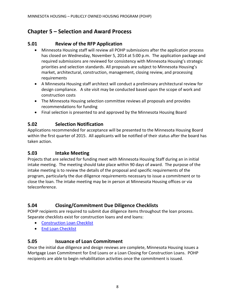## <span id="page-11-0"></span>**Chapter 5 – Selection and Award Process**

#### <span id="page-11-1"></span>**5.01 Review of the RFP Application**

- Minnesota Housing staff will review all POHP submissions after the application process has closed on Wednesday, November 5, 2014 at 5:00 p.m. The application package and required submissions are reviewed for consistency with Minnesota Housing's strategic priorities and selection standards. All proposals are subject to Minnesota Housing's market, architectural, construction, management, closing review, and processing requirements
- A Minnesota Housing staff architect will conduct a preliminary architectural review for design compliance. A site visit may be conducted based upon the scope of work and construction costs
- The Minnesota Housing selection committee reviews all proposals and provides recommendations for funding
- Final selection is presented to and approved by the Minnesota Housing Board

#### <span id="page-11-2"></span>**5.02 Selection Notification**

Applications recommended for acceptance will be presented to the Minnesota Housing Board within the first quarter of 2015. All applicants will be notified of their status after the board has taken action.

#### <span id="page-11-3"></span>**5.03 Intake Meeting**

Projects that are selected for funding meet with Minnesota Housing Staff during an in initial intake meeting. The meeting should take place within 90 days of award. The purpose of the intake meeting is to review the details of the proposal and specific requirements of the program, particularly the due diligence requirements necessary to issue a commitment or to close the loan. The intake meeting may be in person at Minnesota Housing offices or via teleconference.

#### <span id="page-11-4"></span>**5.04 Closing/Commitment Due Diligence Checklists**

POHP recipients are required to submit due diligence items throughout the loan process. Separate checklists exist for construction loans and end loans:

- [Construction Loan Checklist](http://www.mnhousing.gov/download/MHFA_1017374)
- [End Loan Checklist](http://www.mnhousing.gov/download/MHFA_1017375)

#### <span id="page-11-5"></span>**5.05 Issuance of Loan Commitment**

Once the initial due diligence and design reviews are complete, Minnesota Housing issues a Mortgage Loan Commitment for End Loans or a Loan Closing for Construction Loans. POHP recipients are able to begin rehabilitation activities once the commitment is issued.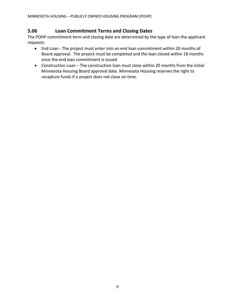#### <span id="page-12-0"></span>**5.06 Loan Commitment Terms and Closing Dates**

The POHP commitment term and closing date are determined by the type of loan the applicant requests:

- End Loan The project must enter into an end loan commitment within 20 months of Board approval. The project must be completed and the loan closed within 18 months once the end loan commitment is issued
- Construction Loan The construction loan must close within 20 months from the initial Minnesota Housing Board approval date. Minnesota Housing reserves the right to recapture funds if a project does not close on time.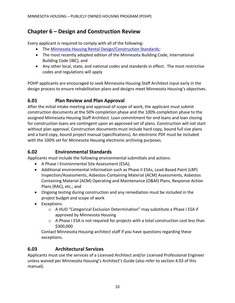## <span id="page-13-0"></span>**Chapter 6 – Design and Construction Review**

Every applicant is required to comply with all of the following:

- The [Minnesota Housing Rental Design/Construction Standards;](http://www.mnhousing.gov/wcs/Satellite?blobcol=urldata&blobheadername1=Content-Type&blobheadername2=Content-Disposition&blobheadername3=MDT-Type&blobheadervalue1=application%2Fpdf&blobheadervalue2=attachment%3B+filename%3DMHFA_010795.pdf&blobheadervalue3=abinary%3B+charset%3DUTF-8&blobkey=id&blobtable=MungoBlobs&blobwhere=1361480422411&ssbinary=true)
- The most recently adopted edition of the Minnesota Building Code, International Building Code (IBC); and
- Any other local, state, and national codes and standards in effect. The most restrictive codes and regulations will apply

POHP applicants are encouraged to seek Minnesota Housing Staff Architect input early in the design process to ensure rehabilitation plans and designs meet Minnesota Housing's objectives.

#### <span id="page-13-1"></span>**6.01 Plan Review and Plan Approval**

After the initial intake meeting and approval of scope of work, the applicant must submit construction documents at the 50% completion phase and the 100% completion phase to the assigned Minnesota Housing Staff Architect. Loan commitment for end loans and loan closing for construction loans are contingent upon an approved set of plans. Construction will not start without plan approval. Construction documents must include hard copy, bound full size plans and a hard copy, bound project manual (specifications). An electronic PDF must be included with the 100% set for Minnesota Housing electronic archiving purposes.

#### <span id="page-13-2"></span>**6.02 Environmental Standards**

Applicants must include the following environmental submittals and actions:

- A Phase I Environmental Site Assessment (ESA);
- Additional environmental information such as Phase II ESAs, Lead-Based Paint (LBP) Inspection/Assessments, Asbestos-Containing Material (ACM) Assessments, Asbestos Containing Material (ACM) Operating and Maintenance (O&M) Plans, Response Action Plans (RAC), etc.; and
- Ongoing testing during construction and any remediation must be included in the project budget and scope of work
- Exceptions:
	- o A HUD "Categorical Exclusion Determination" may substitute a Phase I ESA if approved by Minnesota Housing
	- o A Phase I ESA is not required for projects with a total construction cost less than \$300,000

Contact Minnesota Housing architect staff if you have questions regarding these exceptions.

#### <span id="page-13-3"></span>**6.03 Architectural Services**

Applicants must use the services of a Licensed Architect and/or Licensed Professional Engineer unless waived per Minnesota Housing's Architect's Guide (also refer to section 4.03 of this manual).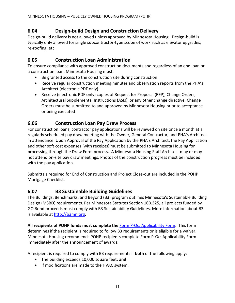#### <span id="page-14-0"></span>**6.04 Design-build Design and Construction Delivery**

Design-build delivery is not allowed unless approved by Minnesota Housing. Design-build is typically only allowed for single subcontractor-type scope of work such as elevator upgrades, re-roofing, etc.

#### <span id="page-14-1"></span>**6.05 Construction Loan Administration**

To ensure compliance with approved construction documents and regardless of an end loan or a construction loan, Minnesota Housing must:

- Be granted access to the construction site during construction
- Receive regular construction meeting minutes and observation reports from the PHA's Architect (electronic PDF only)
- Receive (electronic PDF only) copies of Request for Proposal (RFP), Change Orders, Architectural Supplemental Instructions (ASIs), or any other change directive. Change Orders must be submitted to and approved by Minnesota Housing prior to acceptance or being executed

#### <span id="page-14-2"></span>**6.06 Construction Loan Pay Draw Process**

For construction loans, contractor pay applications will be reviewed on site once a month at a regularly scheduled pay draw meeting with the Owner, General Contractor, and PHA's Architect in attendance. Upon Approval of the Pay Application by the PHA's Architect, the Pay Application and other soft cost expenses (with receipts) must be submitted to Minnesota Housing for processing through the Draw Form process. A Minnesota Housing Staff Architect may or may not attend on-site pay draw meetings. Photos of the construction progress must be included with the pay application.

Submittals required for End of Construction and Project Close-out are included in the POHP Mortgage Checklist.

#### <span id="page-14-3"></span>**6.07 B3 Sustainable Building Guidelines**

The Buildings, Benchmarks, and Beyond (B3) program outlines Minnesota's Sustainable Building Design (MSBD) requirements. Per Minnesota Statutes Section 16B.325, all projects funded by GO Bond proceeds must comply with B3 Sustainability Guidelines. More information about B3 is available at [http://b3mn.org.](http://b3mn.org/)

**All recipients of POHP funds must complete the** [Form P-Oc: Applicability Form.](http://b3mn.org/guidelines/downloads_v2_2/FormP-0c.pdf) This form determines if the recipient is required to follow B3 requirements or is eligible for a waiver. Minnesota Housing recommends POHP recipients complete Form P-Oc: Applicability Form immediately after the announcement of awards.

A recipient is required to comply with B3 requirements if **both** of the following apply:

- The building exceeds 10,000 square feet; **and**
- **If modifications are made to the HVAC system.**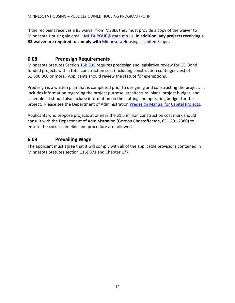If the recipient receives a B3 waiver from MSBD, they must provide a copy of the waiver to Minnesota Housing via email: [MHFA.POHP@state.mn.us.](mailto:MHFA.POHP@state.mn.us) **In addition, any projects receiving a B3 waiver are required to comply with** [Minnesota Housing's Limited Scope](http://www.mnhousing.gov/wcs/Satellite?blobcol=urldata&blobheadername1=Content-Type&blobheadername2=Content-Disposition&blobheadername3=MDT-Type&blobheadervalue1=application%2Frtf&blobheadervalue2=attachment%3B+filename%3DMHFA_013774.rtf&blobheadervalue3=abinary%3B+charset%3DUTF-8&blobkey=id&blobtable=MungoBlobs&blobwhere=1361480495701&ssbinary=true)**.**

#### <span id="page-15-0"></span>**6.08 Predesign Requirements**

Minnesota Statutes Section [16B.335](https://www.revisor.mn.gov/statutes/?id=16B.335) requires predesign and legislative review for GO Bond funded projects with a total construction cost (including construction contingencies) of \$1,500,000 or more. Applicants should review the statute for exemptions.

Predesign is a written plan that is completed prior to designing and constructing the project. It includes information regarding the project purpose, architectural plans, project budget, and schedule. It should also include information on the staffing and operating budget for the project. Please see the Department of Administration [Predesign Manual for Capital Projects.](http://www.mn.gov/admin/images/RECS-CS-Predesign%2520Manual%2520-5th%2520Ed%2520FINAL%2520Feb2010.pdf)

Applicants who propose projects at or near the \$1.5 million construction cost mark should consult with the Department of Administration (Gordon Christofferson, 651.201.2380) to ensure the correct timeline and procedure are followed.

#### <span id="page-15-1"></span>**6.09 Prevailing Wage**

The applicant must agree that it will comply with all of the applicable provisions contained in Minnesota Statutes section [116J.871](https://www.revisor.mn.gov/statutes/?id=116J.871) and [Chapter 177.](https://www.revisor.mn.gov/statutes/?id=177.42)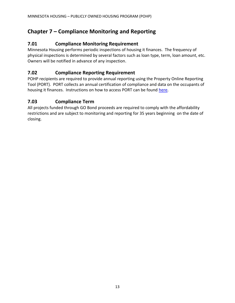## <span id="page-16-0"></span>**Chapter 7 – Compliance Monitoring and Reporting**

#### <span id="page-16-1"></span>**7.01 Compliance Monitoring Requirement**

Minnesota Housing performs periodic inspections of housing it finances. The frequency of physical inspections is determined by several factors such as loan type, term, loan amount, etc. Owners will be notified in advance of any inspection.

#### <span id="page-16-2"></span>**7.02 Compliance Reporting Requirement**

POHP recipients are required to provide annual reporting using the Property Online Reporting Tool (PORT). PORT collects an annual certification of compliance and data on the occupants of housing it finances. Instructions on how to access PORT can be found [here.](http://www.mnhousing.gov/wcs/Satellite?c=Page&cid=1358905290806&pagename=External%2FPage%2FEXTStandardLayout)

#### <span id="page-16-3"></span>**7.03 Compliance Term**

All projects funded through GO Bond proceeds are required to comply with the affordability restrictions and are subject to monitoring and reporting for 35 years beginning on the date of closing.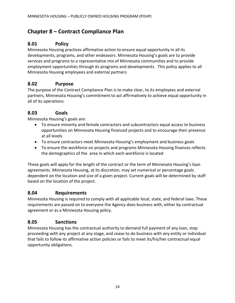## <span id="page-17-0"></span>**Chapter 8 – Contract Compliance Plan**

#### <span id="page-17-1"></span>**8.01 Policy**

Minnesota Housing practices affirmative action to ensure equal opportunity in all its developments, programs, and other endeavors. Minnesota Housing's goals are to provide services and programs to a representative mix of Minnesota communities and to provide employment opportunities through its programs and developments. This policy applies to all Minnesota Housing employees and external partners

#### <span id="page-17-2"></span>**8.02 Purpose**

The purpose of the Contract Compliance Plan is to make clear, to its employees and external partners, Minnesota Housing's commitment to act affirmatively to achieve equal opportunity in all of its operations.

#### <span id="page-17-3"></span>**8.03 Goals**

Minnesota Housing's goals are:

- To ensure minority and female contractors and subcontractors equal access to business opportunities on Minnesota Housing financed projects and to encourage their presence at all levels
- To ensure contractors meet Minnesota Housing's employment and business goals
- To ensure the workforce on projects and programs Minnesota Housing finances reflects the demographics of the area in which each workforce is located

These goals will apply for the length of the contract or the term of Minnesota Housing's loan agreements. Minnesota Housing, at its discretion, may set numerical or percentage goals dependent on the location and size of a given project. Current goals will be determined by staff based on the location of the project.

#### <span id="page-17-4"></span>**8.04 Requirements**

Minnesota Housing is required to comply with all applicable local, state, and federal laws. These requirements are passed on to everyone the Agency does business with, either by contractual agreement or as a Minnesota Housing policy.

#### <span id="page-17-5"></span>**8.05 Sanctions**

Minnesota Housing has the contractual authority to demand full payment of any loan, stop proceeding with any project at any stage, and cease to do business with any entity or individual that fails to follow its affirmative action policies or fails to meet its/his/her contractual equal opportunity obligations.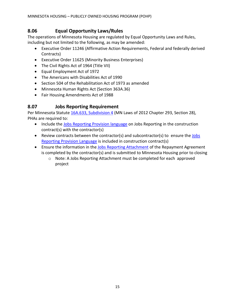#### <span id="page-18-0"></span>**8.06 Equal Opportunity Laws/Rules**

The operations of Minnesota Housing are regulated by Equal Opportunity Laws and Rules, including but not limited to the following, as may be amended:

- Executive Order 11246 (Affirmative Action Requirements, Federal and federally derived Contracts)
- Executive Order 11625 (Minority Business Enterprises)
- The Civil Rights Act of 1964 (Title VII)
- Equal Employment Act of 1972
- The Americans with Disabilities Act of 1990
- Section 504 of the Rehabilitation Act of 1973 as amended
- Minnesota Human Rights Act (Section 363A.36)
- Fair Housing Amendments Act of 1988

#### <span id="page-18-1"></span>**8.07 Jobs Reporting Requirement**

Per Minnesota Statute [16A.633, Subdivision 4](https://www.revisor.mn.gov/statutes/?id=16A.633) (MN Laws of 2012 Chapter 293, Section 28), PHAs are required to:

- Include the [Jobs Reporting Provision language](http://www.mnhousing.gov/download/MHFA_1017206) on Jobs Reporting in the construction contract(s) with the contractor(s)
- Review contracts between the contractor(s) and subcontractor(s) to ensure the [Jobs](http://www.mnhousing.gov/download/MHFA_1017206)  [Reporting Provision Language](http://www.mnhousing.gov/download/MHFA_1017206) is included in construction contract(s)
- Ensure the information in the [Jobs Reporting Attachment](http://www.mnhousing.gov/download/MHFA_1017207) of the Repayment Agreement is completed by the contractor(s) and is submitted to Minnesota Housing prior to closing
	- $\circ$  Note: A Jobs Reporting Attachment must be completed for each approved project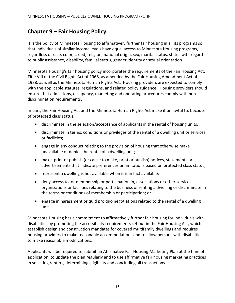## <span id="page-19-0"></span>**Chapter 9 – Fair Housing Policy**

It is the policy of Minnesota Housing to affirmatively further fair housing in all its programs so that individuals of similar income levels have equal access to Minnesota Housing programs, regardless of race, color, creed, religion, national origin, sex, marital status, status with regard to public assistance, disability, familial status, gender identity or sexual orientation.

Minnesota Housing's fair housing policy incorporates the requirements of the Fair Housing Act, Title VIII of the Civil Rights Act of 1968, as amended by the Fair Housing Amendment Act of 1988, as well as the Minnesota Human Rights Act. Housing providers are expected to comply with the applicable statutes, regulations, and related policy guidance. Housing providers should ensure that admissions, occupancy, marketing and operating procedures comply with nondiscrimination requirements.

In part, the Fair Housing Act and the Minnesota Human Rights Act make it unlawful to, because of protected class status:

- discriminate in the selection/acceptance of applicants in the rental of housing units;
- discriminate in terms, conditions or privileges of the rental of a dwelling unit or services or facilities;
- engage in any conduct relating to the provision of housing that otherwise make unavailable or denies the rental of a dwelling unit;
- make, print or publish (or cause to make, print or publish) notices, statements or advertisements that indicate preferences or limitations based on protected class status;
- represent a dwelling is not available when it is in fact available;
- deny access to, or membership or participation in, associations or other services organizations or facilities relating to the business of renting a dwelling or discriminate in the terms or conditions of membership or participation; or
- engage in harassment or quid pro quo negotiations related to the rental of a dwelling unit.

Minnesota Housing has a commitment to affirmatively further fair housing for individuals with disabilities by promoting the accessibility requirements set out in the Fair Housing Act, which establish design and construction mandates for covered multifamily dwellings and requires housing providers to make reasonable accommodations and to allow persons with disabilities to make reasonable modifications.

Applicants will be required to submit an Affirmative Fair Housing Marketing Plan at the time of application, to update the plan regularly and to use affirmative fair housing marketing practices in soliciting renters, determining eligibility and concluding all transactions.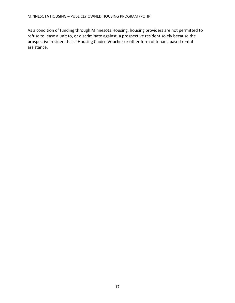As a condition of funding through Minnesota Housing, housing providers are not permitted to refuse to lease a unit to, or discriminate against, a prospective resident solely because the prospective resident has a Housing Choice Voucher or other form of tenant-based rental assistance.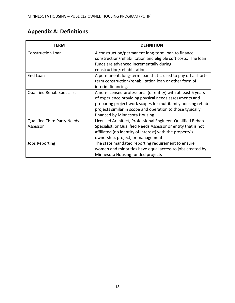## <span id="page-21-0"></span>**Appendix A: Definitions**

| TERM                                           | <b>DEFINITION</b>                                                                                                                                                                                                                                                                      |
|------------------------------------------------|----------------------------------------------------------------------------------------------------------------------------------------------------------------------------------------------------------------------------------------------------------------------------------------|
| <b>Construction Loan</b>                       | A construction/permanent long-term loan to finance<br>construction/rehabilitation and eligible soft costs. The loan<br>funds are advanced incrementally during<br>construction/rehabilitation.                                                                                         |
| End Loan                                       | A permanent, long-term loan that is used to pay off a short-<br>term construction/rehabilitation loan or other form of<br>interim financing.                                                                                                                                           |
| <b>Qualified Rehab Specialist</b>              | A non-licensed professional (or entity) with at least 5 years<br>of experience providing physical needs assessments and<br>preparing project work scopes for multifamily housing rehab<br>projects similar in scope and operation to those typically<br>financed by Minnesota Housing. |
| <b>Qualified Third Party Needs</b><br>Assessor | Licensed Architect, Professional Engineer, Qualified Rehab<br>Specialist, or Qualified Needs Assessor or entity that is not<br>affiliated (no identity of interest) with the property's<br>ownership, project, or management.                                                          |
| <b>Jobs Reporting</b>                          | The state mandated reporting requirement to ensure<br>women and minorities have equal access to jobs created by<br>Minnesota Housing funded projects                                                                                                                                   |